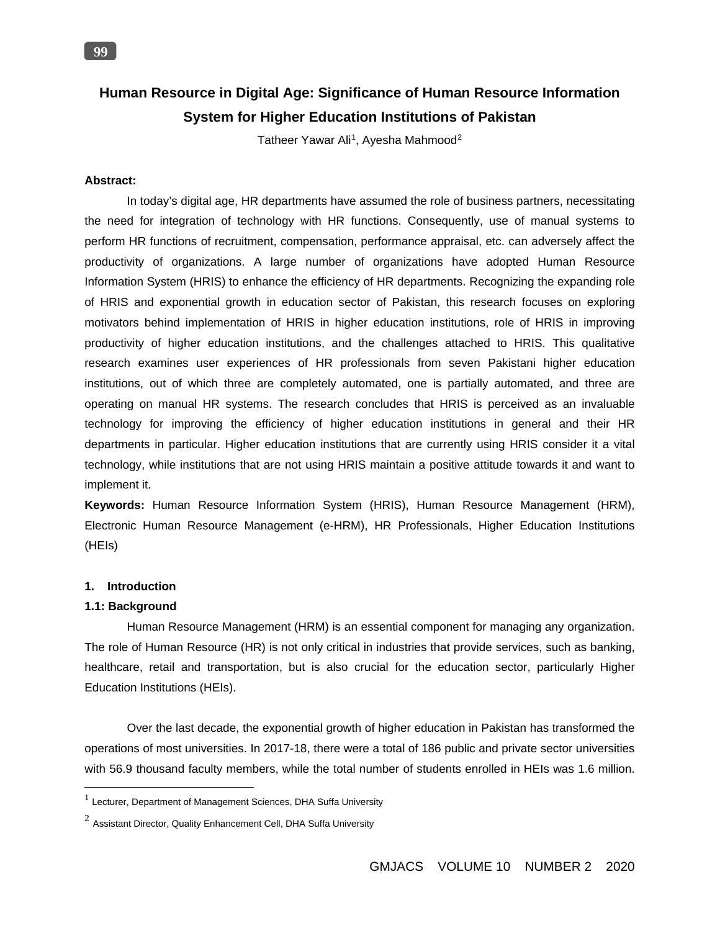# **Human Resource in Digital Age: Significance of Human Resource Information System for Higher Education Institutions of Pakistan**

Tatheer Yawar Ali<sup>1</sup>, Ayesha Mahmood<sup>2</sup>

# **Abstract:**

**99**

In today's digital age, HR departments have assumed the role of business partners, necessitating the need for integration of technology with HR functions. Consequently, use of manual systems to perform HR functions of recruitment, compensation, performance appraisal, etc. can adversely affect the productivity of organizations. A large number of organizations have adopted Human Resource Information System (HRIS) to enhance the efficiency of HR departments. Recognizing the expanding role of HRIS and exponential growth in education sector of Pakistan, this research focuses on exploring motivators behind implementation of HRIS in higher education institutions, role of HRIS in improving productivity of higher education institutions, and the challenges attached to HRIS. This qualitative research examines user experiences of HR professionals from seven Pakistani higher education institutions, out of which three are completely automated, one is partially automated, and three are operating on manual HR systems. The research concludes that HRIS is perceived as an invaluable technology for improving the efficiency of higher education institutions in general and their HR departments in particular. Higher education institutions that are currently using HRIS consider it a vital technology, while institutions that are not using HRIS maintain a positive attitude towards it and want to implement it.

**Keywords:** Human Resource Information System (HRIS), Human Resource Management (HRM), Electronic Human Resource Management (e-HRM), HR Professionals, Higher Education Institutions (HEIs)

## **1. Introduction**

### **1.1: Background**

 $\overline{a}$ 

Human Resource Management (HRM) is an essential component for managing any organization. The role of Human Resource (HR) is not only critical in industries that provide services, such as banking, healthcare, retail and transportation, but is also crucial for the education sector, particularly Higher Education Institutions (HEIs).

Over the last decade, the exponential growth of higher education in Pakistan has transformed the operations of most universities. In 2017-18, there were a total of 186 public and private sector universities with 56.9 thousand faculty members, while the total number of students enrolled in HEIs was 1.6 million.

 $1$  Lecturer, Department of Management Sciences, DHA Suffa University

 $2$  Assistant Director, Quality Enhancement Cell, DHA Suffa University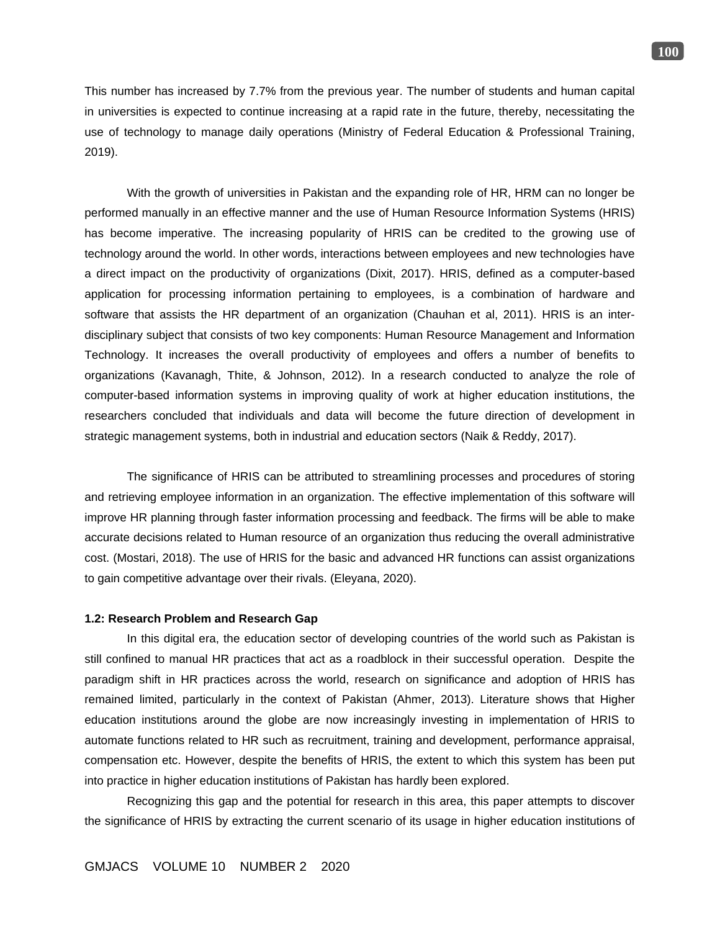This number has increased by 7.7% from the previous year. The number of students and human capital in universities is expected to continue increasing at a rapid rate in the future, thereby, necessitating the use of technology to manage daily operations (Ministry of Federal Education & Professional Training, 2019).

With the growth of universities in Pakistan and the expanding role of HR, HRM can no longer be performed manually in an effective manner and the use of Human Resource Information Systems (HRIS) has become imperative. The increasing popularity of HRIS can be credited to the growing use of technology around the world. In other words, interactions between employees and new technologies have a direct impact on the productivity of organizations (Dixit, 2017). HRIS, defined as a computer-based application for processing information pertaining to employees, is a combination of hardware and software that assists the HR department of an organization (Chauhan et al, 2011). HRIS is an interdisciplinary subject that consists of two key components: Human Resource Management and Information Technology. It increases the overall productivity of employees and offers a number of benefits to organizations (Kavanagh, Thite, & Johnson, 2012). In a research conducted to analyze the role of computer-based information systems in improving quality of work at higher education institutions, the researchers concluded that individuals and data will become the future direction of development in strategic management systems, both in industrial and education sectors (Naik & Reddy, 2017).

The significance of HRIS can be attributed to streamlining processes and procedures of storing and retrieving employee information in an organization. The effective implementation of this software will improve HR planning through faster information processing and feedback. The firms will be able to make accurate decisions related to Human resource of an organization thus reducing the overall administrative cost. (Mostari, 2018). The use of HRIS for the basic and advanced HR functions can assist organizations to gain competitive advantage over their rivals. (Eleyana, 2020).

#### **1.2: Research Problem and Research Gap**

In this digital era, the education sector of developing countries of the world such as Pakistan is still confined to manual HR practices that act as a roadblock in their successful operation. Despite the paradigm shift in HR practices across the world, research on significance and adoption of HRIS has remained limited, particularly in the context of Pakistan (Ahmer, 2013). Literature shows that Higher education institutions around the globe are now increasingly investing in implementation of HRIS to automate functions related to HR such as recruitment, training and development, performance appraisal, compensation etc. However, despite the benefits of HRIS, the extent to which this system has been put into practice in higher education institutions of Pakistan has hardly been explored.

Recognizing this gap and the potential for research in this area, this paper attempts to discover the significance of HRIS by extracting the current scenario of its usage in higher education institutions of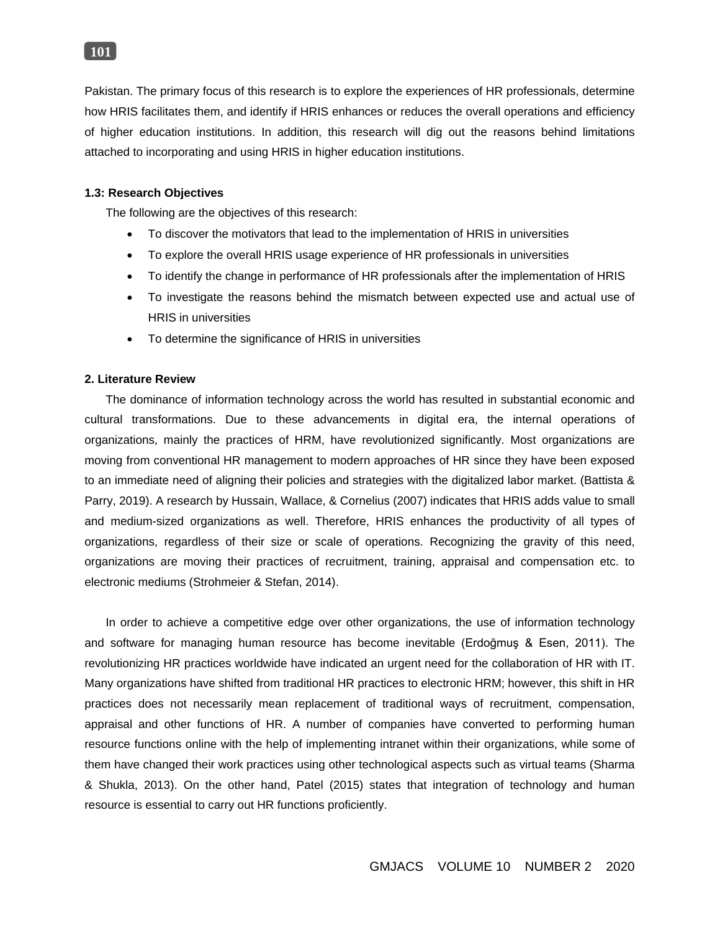

Pakistan. The primary focus of this research is to explore the experiences of HR professionals, determine how HRIS facilitates them, and identify if HRIS enhances or reduces the overall operations and efficiency of higher education institutions. In addition, this research will dig out the reasons behind limitations attached to incorporating and using HRIS in higher education institutions.

### **1.3: Research Objectives**

The following are the objectives of this research:

- To discover the motivators that lead to the implementation of HRIS in universities
- To explore the overall HRIS usage experience of HR professionals in universities
- To identify the change in performance of HR professionals after the implementation of HRIS
- To investigate the reasons behind the mismatch between expected use and actual use of HRIS in universities
- To determine the significance of HRIS in universities

## **2. Literature Review**

The dominance of information technology across the world has resulted in substantial economic and cultural transformations. Due to these advancements in digital era, the internal operations of organizations, mainly the practices of HRM, have revolutionized significantly. Most organizations are moving from conventional HR management to modern approaches of HR since they have been exposed to an immediate need of aligning their policies and strategies with the digitalized labor market. (Battista & Parry, 2019). A research by Hussain, Wallace, & Cornelius (2007) indicates that HRIS adds value to small and medium-sized organizations as well. Therefore, HRIS enhances the productivity of all types of organizations, regardless of their size or scale of operations. Recognizing the gravity of this need, organizations are moving their practices of recruitment, training, appraisal and compensation etc. to electronic mediums (Strohmeier & Stefan, 2014).

In order to achieve a competitive edge over other organizations, the use of information technology and software for managing human resource has become inevitable (Erdoğmuş & Esen, 2011). The revolutionizing HR practices worldwide have indicated an urgent need for the collaboration of HR with IT. Many organizations have shifted from traditional HR practices to electronic HRM; however, this shift in HR practices does not necessarily mean replacement of traditional ways of recruitment, compensation, appraisal and other functions of HR. A number of companies have converted to performing human resource functions online with the help of implementing intranet within their organizations, while some of them have changed their work practices using other technological aspects such as virtual teams (Sharma & Shukla, 2013). On the other hand, Patel (2015) states that integration of technology and human resource is essential to carry out HR functions proficiently.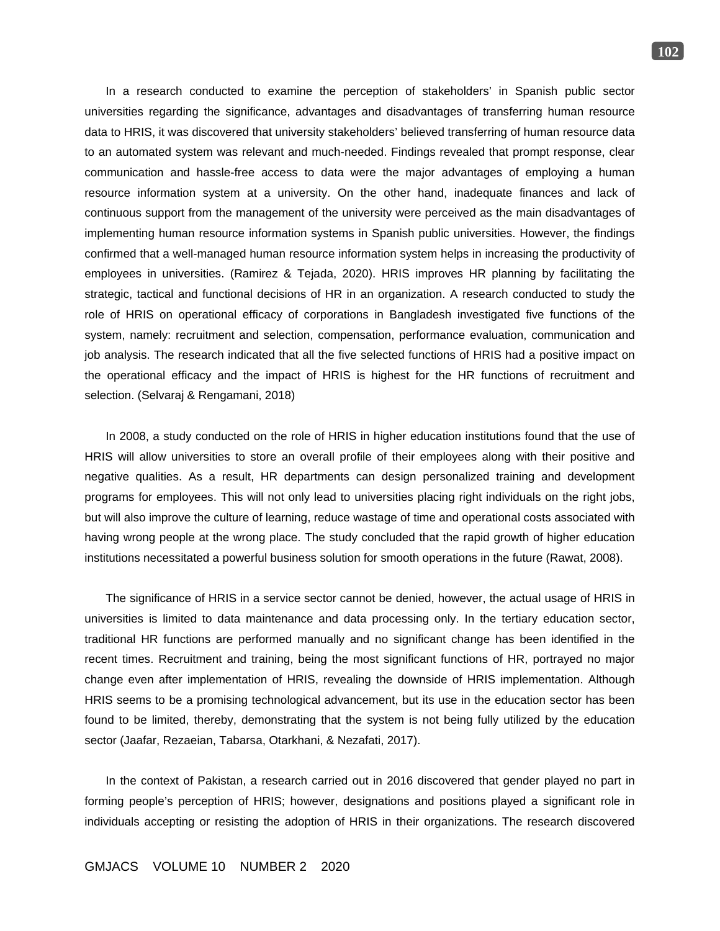In a research conducted to examine the perception of stakeholders' in Spanish public sector universities regarding the significance, advantages and disadvantages of transferring human resource data to HRIS, it was discovered that university stakeholders' believed transferring of human resource data to an automated system was relevant and much-needed. Findings revealed that prompt response, clear communication and hassle-free access to data were the major advantages of employing a human resource information system at a university. On the other hand, inadequate finances and lack of continuous support from the management of the university were perceived as the main disadvantages of implementing human resource information systems in Spanish public universities. However, the findings confirmed that a well-managed human resource information system helps in increasing the productivity of employees in universities. (Ramirez & Tejada, 2020). HRIS improves HR planning by facilitating the strategic, tactical and functional decisions of HR in an organization. A research conducted to study the role of HRIS on operational efficacy of corporations in Bangladesh investigated five functions of the system, namely: recruitment and selection, compensation, performance evaluation, communication and job analysis. The research indicated that all the five selected functions of HRIS had a positive impact on the operational efficacy and the impact of HRIS is highest for the HR functions of recruitment and selection. (Selvaraj & Rengamani, 2018)

In 2008, a study conducted on the role of HRIS in higher education institutions found that the use of HRIS will allow universities to store an overall profile of their employees along with their positive and negative qualities. As a result, HR departments can design personalized training and development programs for employees. This will not only lead to universities placing right individuals on the right jobs, but will also improve the culture of learning, reduce wastage of time and operational costs associated with having wrong people at the wrong place. The study concluded that the rapid growth of higher education institutions necessitated a powerful business solution for smooth operations in the future (Rawat, 2008).

The significance of HRIS in a service sector cannot be denied, however, the actual usage of HRIS in universities is limited to data maintenance and data processing only. In the tertiary education sector, traditional HR functions are performed manually and no significant change has been identified in the recent times. Recruitment and training, being the most significant functions of HR, portrayed no major change even after implementation of HRIS, revealing the downside of HRIS implementation. Although HRIS seems to be a promising technological advancement, but its use in the education sector has been found to be limited, thereby, demonstrating that the system is not being fully utilized by the education sector (Jaafar, Rezaeian, Tabarsa, Otarkhani, & Nezafati, 2017).

In the context of Pakistan, a research carried out in 2016 discovered that gender played no part in forming people's perception of HRIS; however, designations and positions played a significant role in individuals accepting or resisting the adoption of HRIS in their organizations. The research discovered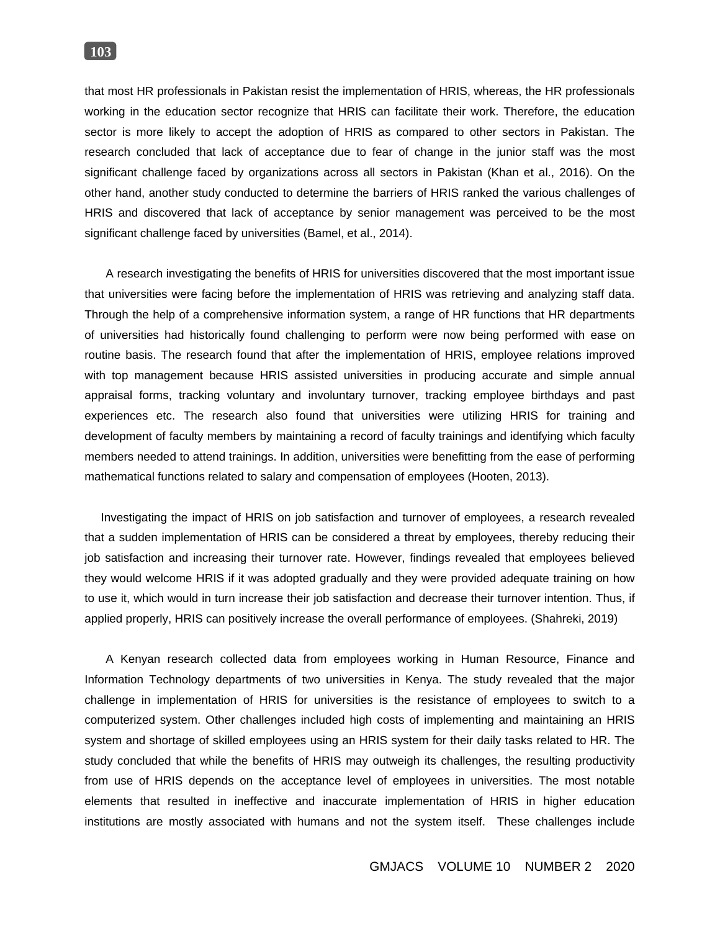that most HR professionals in Pakistan resist the implementation of HRIS, whereas, the HR professionals working in the education sector recognize that HRIS can facilitate their work. Therefore, the education sector is more likely to accept the adoption of HRIS as compared to other sectors in Pakistan. The research concluded that lack of acceptance due to fear of change in the junior staff was the most significant challenge faced by organizations across all sectors in Pakistan (Khan et al., 2016). On the other hand, another study conducted to determine the barriers of HRIS ranked the various challenges of HRIS and discovered that lack of acceptance by senior management was perceived to be the most significant challenge faced by universities (Bamel, et al., 2014).

A research investigating the benefits of HRIS for universities discovered that the most important issue that universities were facing before the implementation of HRIS was retrieving and analyzing staff data. Through the help of a comprehensive information system, a range of HR functions that HR departments of universities had historically found challenging to perform were now being performed with ease on routine basis. The research found that after the implementation of HRIS, employee relations improved with top management because HRIS assisted universities in producing accurate and simple annual appraisal forms, tracking voluntary and involuntary turnover, tracking employee birthdays and past experiences etc. The research also found that universities were utilizing HRIS for training and development of faculty members by maintaining a record of faculty trainings and identifying which faculty members needed to attend trainings. In addition, universities were benefitting from the ease of performing mathematical functions related to salary and compensation of employees (Hooten, 2013).

 Investigating the impact of HRIS on job satisfaction and turnover of employees, a research revealed that a sudden implementation of HRIS can be considered a threat by employees, thereby reducing their job satisfaction and increasing their turnover rate. However, findings revealed that employees believed they would welcome HRIS if it was adopted gradually and they were provided adequate training on how to use it, which would in turn increase their job satisfaction and decrease their turnover intention. Thus, if applied properly, HRIS can positively increase the overall performance of employees. (Shahreki, 2019)

A Kenyan research collected data from employees working in Human Resource, Finance and Information Technology departments of two universities in Kenya. The study revealed that the major challenge in implementation of HRIS for universities is the resistance of employees to switch to a computerized system. Other challenges included high costs of implementing and maintaining an HRIS system and shortage of skilled employees using an HRIS system for their daily tasks related to HR. The study concluded that while the benefits of HRIS may outweigh its challenges, the resulting productivity from use of HRIS depends on the acceptance level of employees in universities. The most notable elements that resulted in ineffective and inaccurate implementation of HRIS in higher education institutions are mostly associated with humans and not the system itself. These challenges include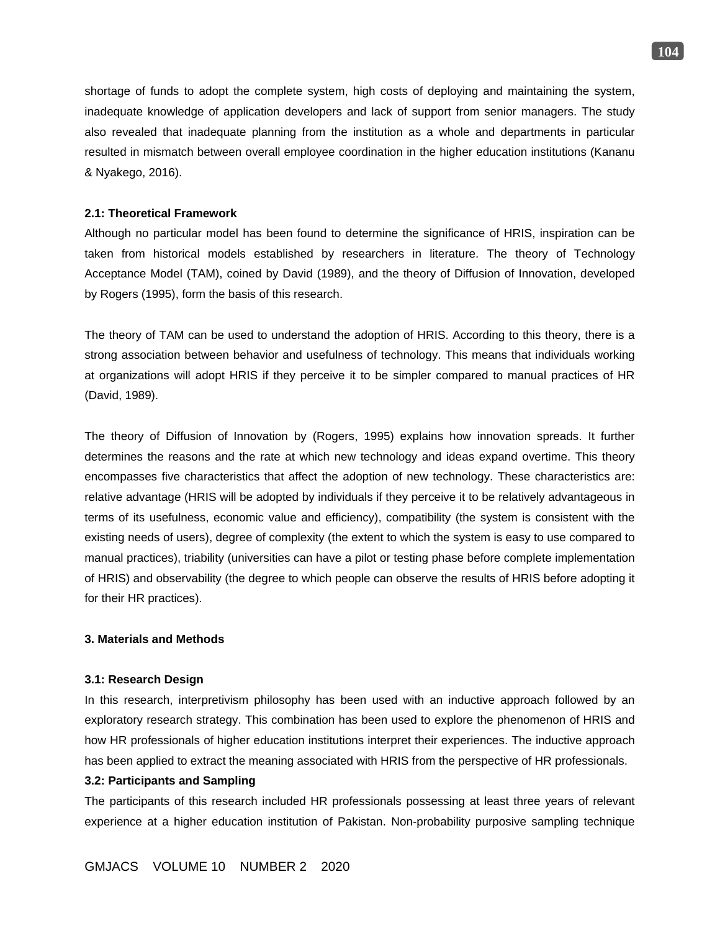shortage of funds to adopt the complete system, high costs of deploying and maintaining the system, inadequate knowledge of application developers and lack of support from senior managers. The study also revealed that inadequate planning from the institution as a whole and departments in particular resulted in mismatch between overall employee coordination in the higher education institutions (Kananu & Nyakego, 2016).

# **2.1: Theoretical Framework**

Although no particular model has been found to determine the significance of HRIS, inspiration can be taken from historical models established by researchers in literature. The theory of Technology Acceptance Model (TAM), coined by David (1989), and the theory of Diffusion of Innovation, developed by Rogers (1995), form the basis of this research.

The theory of TAM can be used to understand the adoption of HRIS. According to this theory, there is a strong association between behavior and usefulness of technology. This means that individuals working at organizations will adopt HRIS if they perceive it to be simpler compared to manual practices of HR (David, 1989).

The theory of Diffusion of Innovation by (Rogers, 1995) explains how innovation spreads. It further determines the reasons and the rate at which new technology and ideas expand overtime. This theory encompasses five characteristics that affect the adoption of new technology. These characteristics are: relative advantage (HRIS will be adopted by individuals if they perceive it to be relatively advantageous in terms of its usefulness, economic value and efficiency), compatibility (the system is consistent with the existing needs of users), degree of complexity (the extent to which the system is easy to use compared to manual practices), triability (universities can have a pilot or testing phase before complete implementation of HRIS) and observability (the degree to which people can observe the results of HRIS before adopting it for their HR practices).

### **3. Materials and Methods**

### **3.1: Research Design**

In this research, interpretivism philosophy has been used with an inductive approach followed by an exploratory research strategy. This combination has been used to explore the phenomenon of HRIS and how HR professionals of higher education institutions interpret their experiences. The inductive approach has been applied to extract the meaning associated with HRIS from the perspective of HR professionals.

## **3.2: Participants and Sampling**

The participants of this research included HR professionals possessing at least three years of relevant experience at a higher education institution of Pakistan. Non-probability purposive sampling technique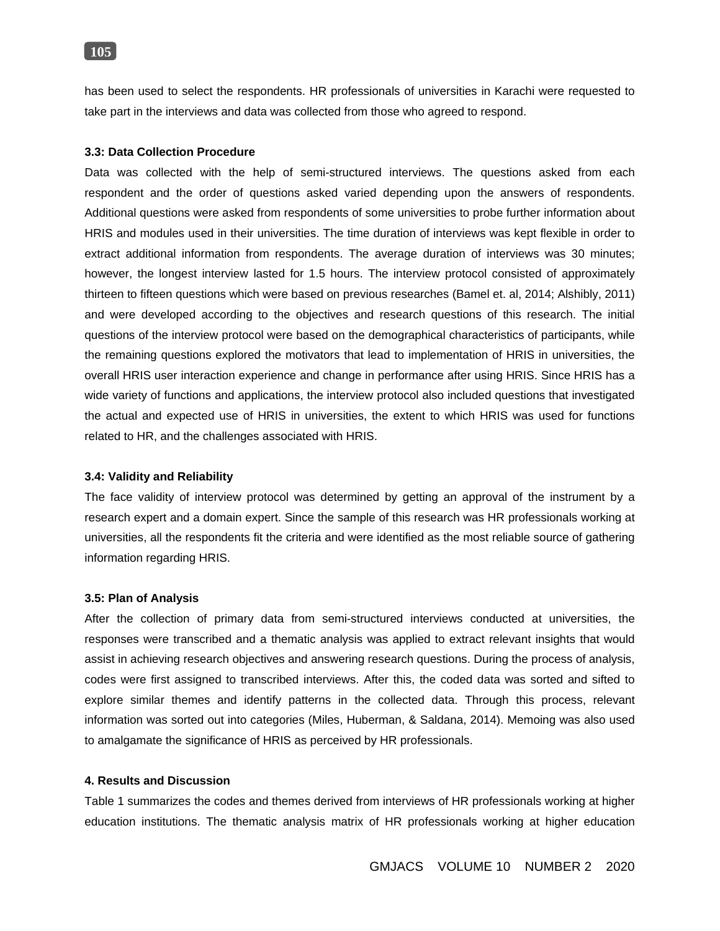# **105**

has been used to select the respondents. HR professionals of universities in Karachi were requested to take part in the interviews and data was collected from those who agreed to respond.

### **3.3: Data Collection Procedure**

Data was collected with the help of semi-structured interviews. The questions asked from each respondent and the order of questions asked varied depending upon the answers of respondents. Additional questions were asked from respondents of some universities to probe further information about HRIS and modules used in their universities. The time duration of interviews was kept flexible in order to extract additional information from respondents. The average duration of interviews was 30 minutes; however, the longest interview lasted for 1.5 hours. The interview protocol consisted of approximately thirteen to fifteen questions which were based on previous researches (Bamel et. al, 2014; Alshibly, 2011) and were developed according to the objectives and research questions of this research. The initial questions of the interview protocol were based on the demographical characteristics of participants, while the remaining questions explored the motivators that lead to implementation of HRIS in universities, the overall HRIS user interaction experience and change in performance after using HRIS. Since HRIS has a wide variety of functions and applications, the interview protocol also included questions that investigated the actual and expected use of HRIS in universities, the extent to which HRIS was used for functions related to HR, and the challenges associated with HRIS.

#### **3.4: Validity and Reliability**

The face validity of interview protocol was determined by getting an approval of the instrument by a research expert and a domain expert. Since the sample of this research was HR professionals working at universities, all the respondents fit the criteria and were identified as the most reliable source of gathering information regarding HRIS.

#### **3.5: Plan of Analysis**

After the collection of primary data from semi-structured interviews conducted at universities, the responses were transcribed and a thematic analysis was applied to extract relevant insights that would assist in achieving research objectives and answering research questions. During the process of analysis, codes were first assigned to transcribed interviews. After this, the coded data was sorted and sifted to explore similar themes and identify patterns in the collected data. Through this process, relevant information was sorted out into categories (Miles, Huberman, & Saldana, 2014). Memoing was also used to amalgamate the significance of HRIS as perceived by HR professionals.

### **4. Results and Discussion**

Table 1 summarizes the codes and themes derived from interviews of HR professionals working at higher education institutions. The thematic analysis matrix of HR professionals working at higher education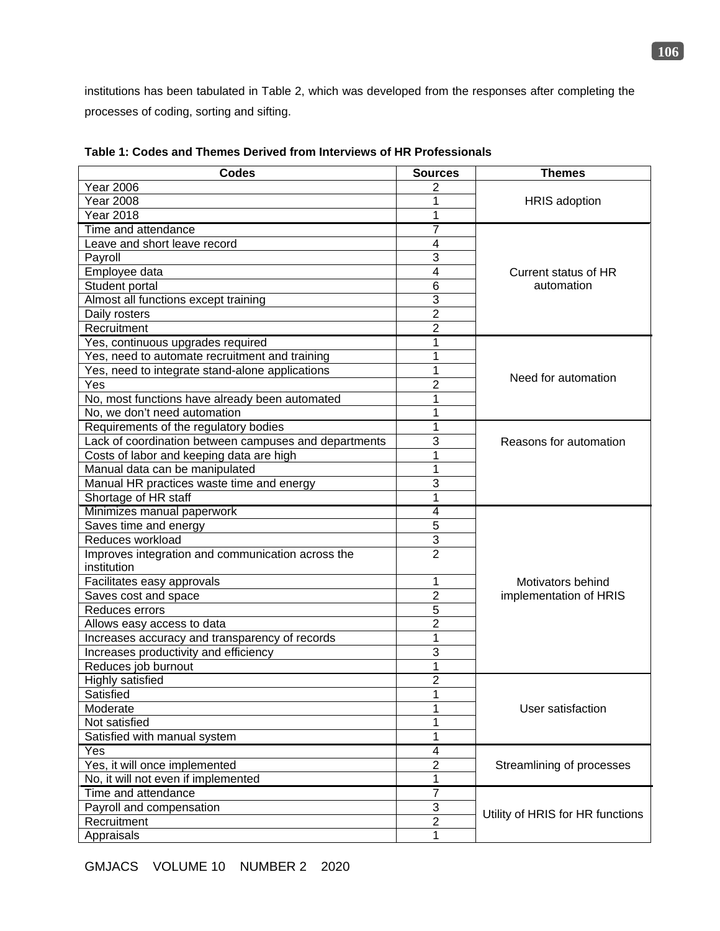institutions has been tabulated in Table 2, which was developed from the responses after completing the processes of coding, sorting and sifting.

| <b>Codes</b>                                          | <b>Sources</b>          | <b>Themes</b>                    |
|-------------------------------------------------------|-------------------------|----------------------------------|
| <b>Year 2006</b>                                      | 2                       |                                  |
| <b>Year 2008</b>                                      | 1                       | <b>HRIS</b> adoption             |
| <b>Year 2018</b>                                      | 1                       |                                  |
| Time and attendance                                   | 7                       |                                  |
| Leave and short leave record                          | 4                       |                                  |
| Payroll                                               | 3                       |                                  |
| Employee data                                         | 4                       | Current status of HR             |
| Student portal                                        | $6\phantom{1}6$         | automation                       |
| Almost all functions except training                  | $\overline{3}$          |                                  |
| Daily rosters                                         | $\overline{2}$          |                                  |
| Recruitment                                           | $\overline{2}$          |                                  |
| Yes, continuous upgrades required                     | 1                       |                                  |
| Yes, need to automate recruitment and training        | 1                       |                                  |
| Yes, need to integrate stand-alone applications       | 1                       |                                  |
| Yes                                                   | $\overline{2}$          | Need for automation              |
| No, most functions have already been automated        | 1                       |                                  |
| No, we don't need automation                          | 1                       |                                  |
| Requirements of the regulatory bodies                 | 1                       |                                  |
| Lack of coordination between campuses and departments | 3                       | Reasons for automation           |
| Costs of labor and keeping data are high              | 1                       |                                  |
| Manual data can be manipulated                        | 1                       |                                  |
| Manual HR practices waste time and energy             | 3                       |                                  |
| Shortage of HR staff                                  | $\mathbf{1}$            |                                  |
| Minimizes manual paperwork                            | $\overline{4}$          |                                  |
| Saves time and energy                                 | 5                       |                                  |
| Reduces workload                                      | $\overline{3}$          |                                  |
| Improves integration and communication across the     | $\overline{2}$          |                                  |
| institution                                           |                         |                                  |
| Facilitates easy approvals                            | $\mathbf 1$             | Motivators behind                |
| Saves cost and space                                  | $\overline{2}$          | implementation of HRIS           |
| Reduces errors                                        | 5                       |                                  |
| Allows easy access to data                            | $\overline{2}$          |                                  |
| Increases accuracy and transparency of records        | $\mathbf 1$             |                                  |
| Increases productivity and efficiency                 | 3                       |                                  |
| Reduces job burnout                                   | $\mathbf{1}$            |                                  |
| <b>Highly satisfied</b>                               | $\overline{2}$          |                                  |
| Satisfied                                             | 1                       |                                  |
| Moderate                                              | 1                       | User satisfaction                |
| Not satisfied                                         | 1                       |                                  |
| Satisfied with manual system                          | 1                       |                                  |
| Yes                                                   | $\overline{\mathbf{4}}$ |                                  |
| Yes, it will once implemented                         | $\mathbf 2$             | Streamlining of processes        |
| No, it will not even if implemented                   | $\mathbf 1$             |                                  |
| Time and attendance                                   | $\overline{7}$          |                                  |
| Payroll and compensation                              | 3                       |                                  |
| Recruitment                                           | $\overline{\mathbf{c}}$ | Utility of HRIS for HR functions |
| Appraisals                                            | $\mathbf 1$             |                                  |

**Table 1: Codes and Themes Derived from Interviews of HR Professionals**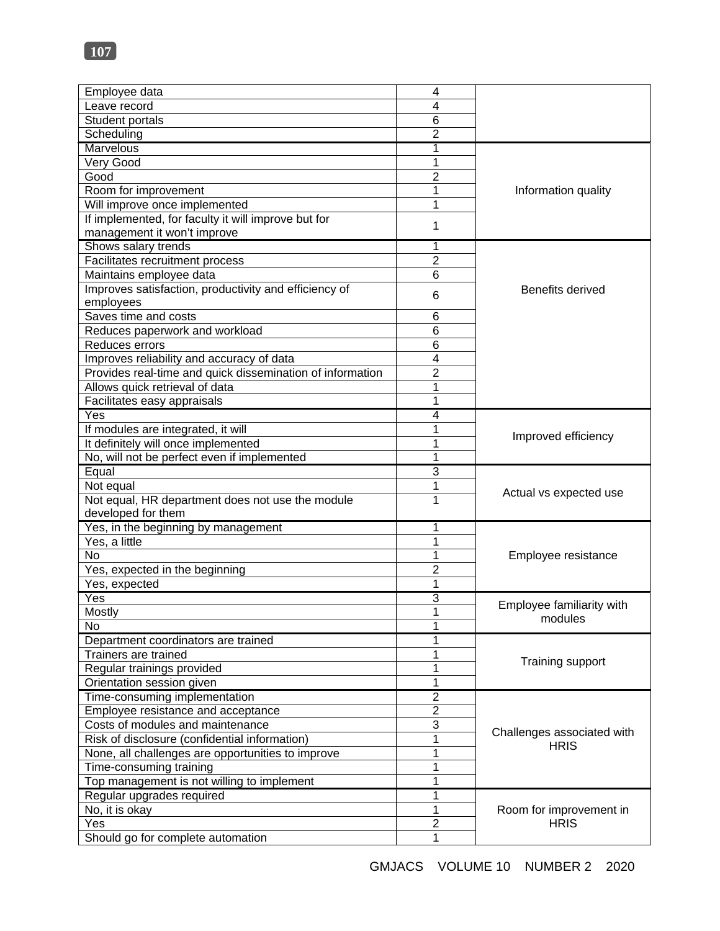| Employee data                                             | $\overline{\mathbf{4}}$ |                            |
|-----------------------------------------------------------|-------------------------|----------------------------|
| Leave record                                              | 4                       |                            |
| Student portals                                           | 6                       |                            |
| Scheduling                                                | $\overline{2}$          |                            |
| Marvelous                                                 | 1                       |                            |
| Very Good                                                 | 1                       |                            |
| Good                                                      | 2                       |                            |
| Room for improvement                                      | 1                       | Information quality        |
| Will improve once implemented                             | 1                       |                            |
| If implemented, for faculty it will improve but for       |                         |                            |
| management it won't improve                               | 1                       |                            |
| Shows salary trends                                       | 1                       |                            |
| Facilitates recruitment process                           | $\overline{2}$          |                            |
| Maintains employee data                                   | 6                       |                            |
| Improves satisfaction, productivity and efficiency of     |                         | <b>Benefits derived</b>    |
| employees                                                 | 6                       |                            |
| Saves time and costs                                      | 6                       |                            |
| Reduces paperwork and workload                            | 6                       |                            |
| Reduces errors                                            | 6                       |                            |
| Improves reliability and accuracy of data                 | 4                       |                            |
| Provides real-time and quick dissemination of information | $\overline{2}$          |                            |
| Allows quick retrieval of data                            | 1                       |                            |
| Facilitates easy appraisals                               | 1                       |                            |
| Yes                                                       | 4                       |                            |
| If modules are integrated, it will                        | 1                       |                            |
| It definitely will once implemented                       | 1                       | Improved efficiency        |
| No, will not be perfect even if implemented               | 1                       |                            |
| Equal                                                     | 3                       |                            |
| Not equal                                                 | 1                       |                            |
| Not equal, HR department does not use the module          | 1                       | Actual vs expected use     |
| developed for them                                        |                         |                            |
| Yes, in the beginning by management                       | 1                       |                            |
| Yes, a little                                             | 1                       |                            |
| <b>No</b>                                                 | 1                       | Employee resistance        |
| Yes, expected in the beginning                            | 2                       |                            |
| Yes, expected                                             | 1                       |                            |
| Yes                                                       | 3                       |                            |
| Mostly                                                    | $\overline{1}$          | Employee familiarity with  |
| No                                                        | 1                       | modules                    |
| Department coordinators are trained                       | 1                       |                            |
| Trainers are trained                                      | 1                       |                            |
| Regular trainings provided                                | 1                       | Training support           |
| Orientation session given                                 | 1                       |                            |
| Time-consuming implementation                             | $\overline{c}$          |                            |
| Employee resistance and acceptance                        | $\overline{2}$          |                            |
| Costs of modules and maintenance                          | 3                       |                            |
| Risk of disclosure (confidential information)             | 1                       | Challenges associated with |
| None, all challenges are opportunities to improve         | 1                       | <b>HRIS</b>                |
| Time-consuming training                                   | 1                       |                            |
| Top management is not willing to implement                | 1                       |                            |
| Regular upgrades required                                 | 1                       |                            |
| No, it is okay                                            | 1                       | Room for improvement in    |
| Yes                                                       | $\overline{2}$          | <b>HRIS</b>                |
| Should go for complete automation                         | 1                       |                            |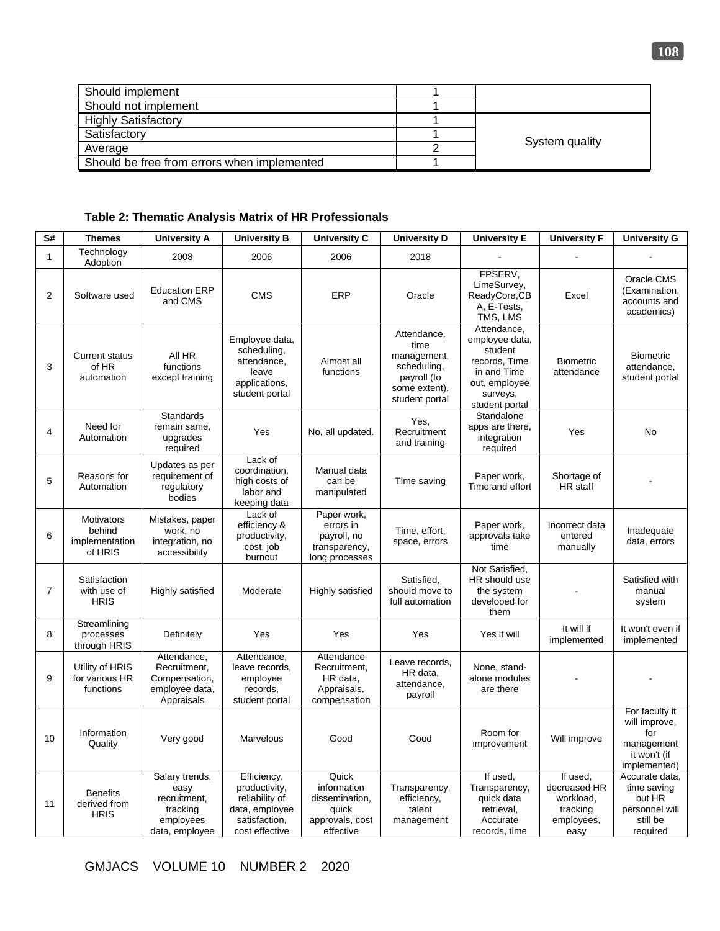| Should implement                            |                |
|---------------------------------------------|----------------|
| Should not implement                        |                |
| <b>Highly Satisfactory</b>                  |                |
| Satisfactory                                |                |
| Average                                     | System quality |
| Should be free from errors when implemented |                |

# **Table 2: Thematic Analysis Matrix of HR Professionals**

| S#             | <b>Themes</b>                                     | <b>University A</b>                                                               | <b>University B</b>                                                                                 | <b>University C</b>                                                             | <b>University D</b>                                                                                 | <b>University E</b>                                                                                                     | <b>University F</b>                                                     | <b>University G</b>                                                                  |
|----------------|---------------------------------------------------|-----------------------------------------------------------------------------------|-----------------------------------------------------------------------------------------------------|---------------------------------------------------------------------------------|-----------------------------------------------------------------------------------------------------|-------------------------------------------------------------------------------------------------------------------------|-------------------------------------------------------------------------|--------------------------------------------------------------------------------------|
| $\mathbf{1}$   | Technology<br>Adoption                            | 2008                                                                              | 2006                                                                                                | 2006                                                                            | 2018                                                                                                |                                                                                                                         |                                                                         |                                                                                      |
| $\overline{2}$ | Software used                                     | <b>Education ERP</b><br>and CMS                                                   | <b>CMS</b>                                                                                          | <b>ERP</b>                                                                      | Oracle                                                                                              | FPSERV,<br>LimeSurvey,<br>ReadyCore,CB<br>A, E-Tests,<br>TMS, LMS                                                       | Excel                                                                   | Oracle CMS<br>(Examination,<br>accounts and<br>academics)                            |
| 3              | <b>Current status</b><br>of HR<br>automation      | All HR<br>functions<br>except training                                            | Employee data,<br>scheduling,<br>attendance,<br>leave<br>applications,<br>student portal            | Almost all<br>functions                                                         | Attendance,<br>time<br>management,<br>scheduling,<br>payroll (to<br>some extent),<br>student portal | Attendance,<br>employee data,<br>student<br>records, Time<br>in and Time<br>out, employee<br>surveys,<br>student portal | <b>Biometric</b><br>attendance                                          | <b>Biometric</b><br>attendance,<br>student portal                                    |
| 4              | Need for<br>Automation                            | <b>Standards</b><br>remain same,<br>upgrades<br>required                          | Yes                                                                                                 | No, all updated.                                                                | Yes.<br>Recruitment<br>and training                                                                 | Standalone<br>apps are there.<br>integration<br>required                                                                | Yes                                                                     | No                                                                                   |
| 5              | Reasons for<br>Automation                         | Updates as per<br>requirement of<br>regulatory<br>bodies                          | Lack of<br>coordination,<br>high costs of<br>labor and<br>keeping data                              | Manual data<br>can be<br>manipulated                                            | Time saving                                                                                         | Paper work,<br>Time and effort                                                                                          | Shortage of<br>HR staff                                                 |                                                                                      |
| 6              | Motivators<br>behind<br>implementation<br>of HRIS | Mistakes, paper<br>work, no<br>integration, no<br>accessibility                   | Lack of<br>efficiency &<br>productivity,<br>cost, job<br>burnout                                    | Paper work,<br>errors in<br>payroll, no<br>transparency,<br>long processes      | Time, effort,<br>space, errors                                                                      | Paper work,<br>approvals take<br>time                                                                                   | Incorrect data<br>entered<br>manually                                   | Inadequate<br>data, errors                                                           |
| $\overline{7}$ | Satisfaction<br>with use of<br><b>HRIS</b>        | Highly satisfied                                                                  | Moderate                                                                                            | Highly satisfied                                                                | Satisfied.<br>should move to<br>full automation                                                     | Not Satisfied,<br>HR should use<br>the system<br>developed for<br>them                                                  |                                                                         | Satisfied with<br>manual<br>system                                                   |
| 8              | Streamlining<br>processes<br>through HRIS         | Definitely                                                                        | Yes                                                                                                 | Yes                                                                             | Yes                                                                                                 | Yes it will                                                                                                             | It will if<br>implemented                                               | It won't even if<br>implemented                                                      |
| 9              | Utility of HRIS<br>for various HR<br>functions    | Attendance,<br>Recruitment,<br>Compensation,<br>employee data,<br>Appraisals      | Attendance,<br>leave records,<br>employee<br>records,<br>student portal                             | Attendance<br>Recruitment,<br>HR data,<br>Appraisals,<br>compensation           | Leave records,<br>HR data,<br>attendance,<br>payroll                                                | None, stand-<br>alone modules<br>are there                                                                              |                                                                         |                                                                                      |
| 10             | Information<br>Quality                            | Very good                                                                         | Marvelous                                                                                           | Good                                                                            | Good                                                                                                | Room for<br>improvement                                                                                                 | Will improve                                                            | For faculty it<br>will improve,<br>for<br>management<br>it won't (if<br>implemented) |
| 11             | <b>Benefits</b><br>derived from<br><b>HRIS</b>    | Salary trends,<br>easy<br>recruitment,<br>tracking<br>employees<br>data, employee | Efficiency,<br>productivity,<br>reliability of<br>data, employee<br>satisfaction,<br>cost effective | Quick<br>information<br>dissemination,<br>quick<br>approvals, cost<br>effective | Transparency,<br>efficiency.<br>talent<br>management                                                | If used,<br>Transparency,<br>quick data<br>retrieval,<br>Accurate<br>records, time                                      | If used.<br>decreased HR<br>workload,<br>tracking<br>employees,<br>easy | Accurate data,<br>time saving<br>but HR<br>personnel will<br>still be<br>required    |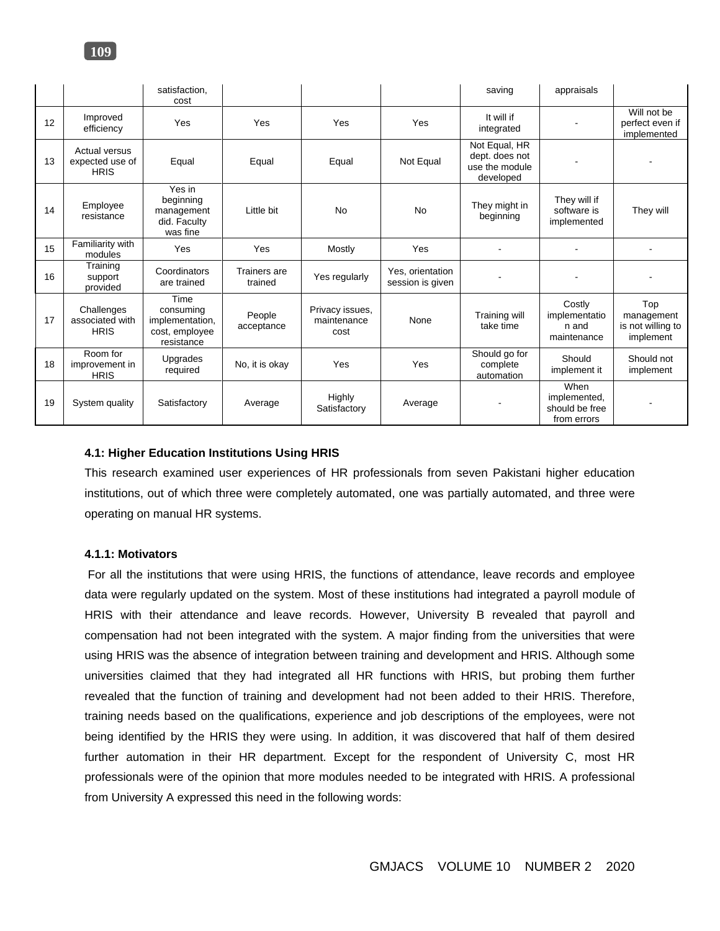|    |                                                 | satisfaction.<br>cost                                                |                         |                                        |                                      | saving                                                         | appraisals                                            |                                                     |
|----|-------------------------------------------------|----------------------------------------------------------------------|-------------------------|----------------------------------------|--------------------------------------|----------------------------------------------------------------|-------------------------------------------------------|-----------------------------------------------------|
| 12 | Improved<br>efficiency                          | Yes                                                                  | Yes                     | Yes                                    | Yes                                  | It will if<br>integrated                                       |                                                       | Will not be<br>perfect even if<br>implemented       |
| 13 | Actual versus<br>expected use of<br><b>HRIS</b> | Equal                                                                | Equal                   | Equal                                  | Not Equal                            | Not Equal, HR<br>dept. does not<br>use the module<br>developed |                                                       |                                                     |
| 14 | Employee<br>resistance                          | Yes in<br>beginning<br>management<br>did. Faculty<br>was fine        | Little bit              | <b>No</b>                              | <b>No</b>                            | They might in<br>beginning                                     | They will if<br>software is<br>implemented            | They will                                           |
| 15 | Familiarity with<br>modules                     | Yes                                                                  | Yes                     | Mostly                                 | Yes                                  |                                                                |                                                       |                                                     |
| 16 | Training<br>support<br>provided                 | Coordinators<br>are trained                                          | Trainers are<br>trained | Yes regularly                          | Yes, orientation<br>session is given |                                                                |                                                       |                                                     |
| 17 | Challenges<br>associated with<br><b>HRIS</b>    | Time<br>consuming<br>implementation,<br>cost, employee<br>resistance | People<br>acceptance    | Privacy issues.<br>maintenance<br>cost | None                                 | Training will<br>take time                                     | Costly<br>implementatio<br>n and<br>maintenance       | Top<br>management<br>is not willing to<br>implement |
| 18 | Room for<br>improvement in<br><b>HRIS</b>       | Upgrades<br>required                                                 | No, it is okay          | Yes                                    | Yes                                  | Should go for<br>complete<br>automation                        | Should<br>implement it                                | Should not<br>implement                             |
| 19 | System quality                                  | Satisfactory                                                         | Average                 | Highly<br>Satisfactory                 | Average                              |                                                                | When<br>implemented,<br>should be free<br>from errors |                                                     |

# **4.1: Higher Education Institutions Using HRIS**

This research examined user experiences of HR professionals from seven Pakistani higher education institutions, out of which three were completely automated, one was partially automated, and three were operating on manual HR systems.

# **4.1.1: Motivators**

For all the institutions that were using HRIS, the functions of attendance, leave records and employee data were regularly updated on the system. Most of these institutions had integrated a payroll module of HRIS with their attendance and leave records. However, University B revealed that payroll and compensation had not been integrated with the system. A major finding from the universities that were using HRIS was the absence of integration between training and development and HRIS. Although some universities claimed that they had integrated all HR functions with HRIS, but probing them further revealed that the function of training and development had not been added to their HRIS. Therefore, training needs based on the qualifications, experience and job descriptions of the employees, were not being identified by the HRIS they were using. In addition, it was discovered that half of them desired further automation in their HR department. Except for the respondent of University C, most HR professionals were of the opinion that more modules needed to be integrated with HRIS. A professional from University A expressed this need in the following words: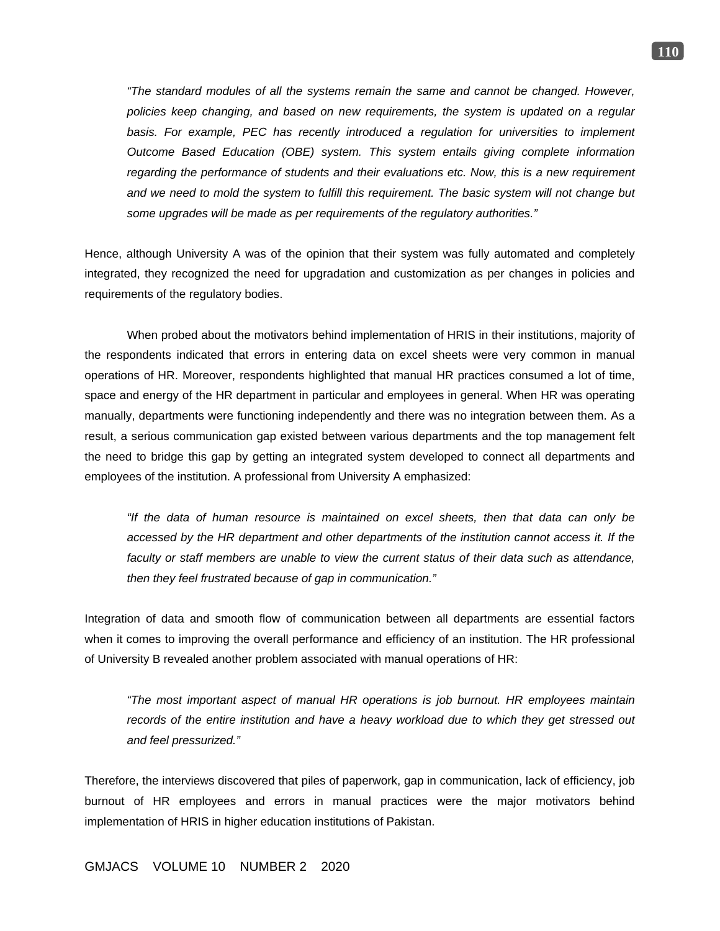*"The standard modules of all the systems remain the same and cannot be changed. However, policies keep changing, and based on new requirements, the system is updated on a regular*  basis. For example, PEC has recently introduced a regulation for universities to implement *Outcome Based Education (OBE) system. This system entails giving complete information regarding the performance of students and their evaluations etc. Now, this is a new requirement and we need to mold the system to fulfill this requirement. The basic system will not change but some upgrades will be made as per requirements of the regulatory authorities."*

Hence, although University A was of the opinion that their system was fully automated and completely integrated, they recognized the need for upgradation and customization as per changes in policies and requirements of the regulatory bodies.

When probed about the motivators behind implementation of HRIS in their institutions, majority of the respondents indicated that errors in entering data on excel sheets were very common in manual operations of HR. Moreover, respondents highlighted that manual HR practices consumed a lot of time, space and energy of the HR department in particular and employees in general. When HR was operating manually, departments were functioning independently and there was no integration between them. As a result, a serious communication gap existed between various departments and the top management felt the need to bridge this gap by getting an integrated system developed to connect all departments and employees of the institution. A professional from University A emphasized:

*"If the data of human resource is maintained on excel sheets, then that data can only be accessed by the HR department and other departments of the institution cannot access it. If the faculty or staff members are unable to view the current status of their data such as attendance, then they feel frustrated because of gap in communication."*

Integration of data and smooth flow of communication between all departments are essential factors when it comes to improving the overall performance and efficiency of an institution. The HR professional of University B revealed another problem associated with manual operations of HR:

*"The most important aspect of manual HR operations is job burnout. HR employees maintain records of the entire institution and have a heavy workload due to which they get stressed out and feel pressurized."*

Therefore, the interviews discovered that piles of paperwork, gap in communication, lack of efficiency, job burnout of HR employees and errors in manual practices were the major motivators behind implementation of HRIS in higher education institutions of Pakistan.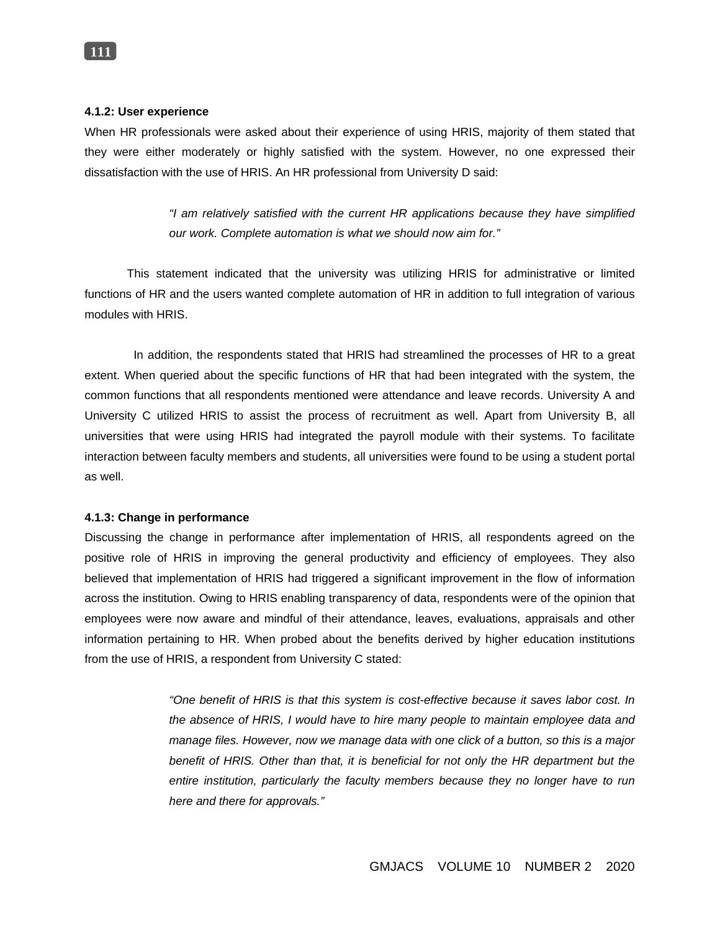### **4.1.2: User experience**

When HR professionals were asked about their experience of using HRIS, majority of them stated that they were either moderately or highly satisfied with the system. However, no one expressed their dissatisfaction with the use of HRIS. An HR professional from University D said:

> *"I am relatively satisfied with the current HR applications because they have simplified our work. Complete automation is what we should now aim for."*

 This statement indicated that the university was utilizing HRIS for administrative or limited functions of HR and the users wanted complete automation of HR in addition to full integration of various modules with HRIS.

 In addition, the respondents stated that HRIS had streamlined the processes of HR to a great extent. When queried about the specific functions of HR that had been integrated with the system, the common functions that all respondents mentioned were attendance and leave records. University A and University C utilized HRIS to assist the process of recruitment as well. Apart from University B, all universities that were using HRIS had integrated the payroll module with their systems. To facilitate interaction between faculty members and students, all universities were found to be using a student portal as well.

### **4.1.3: Change in performance**

Discussing the change in performance after implementation of HRIS, all respondents agreed on the positive role of HRIS in improving the general productivity and efficiency of employees. They also believed that implementation of HRIS had triggered a significant improvement in the flow of information across the institution. Owing to HRIS enabling transparency of data, respondents were of the opinion that employees were now aware and mindful of their attendance, leaves, evaluations, appraisals and other information pertaining to HR. When probed about the benefits derived by higher education institutions from the use of HRIS, a respondent from University C stated:

> *"One benefit of HRIS is that this system is cost-effective because it saves labor cost. In the absence of HRIS, I would have to hire many people to maintain employee data and manage files. However, now we manage data with one click of a button, so this is a major*  benefit of HRIS. Other than that, it is beneficial for not only the HR department but the *entire institution, particularly the faculty members because they no longer have to run here and there for approvals."*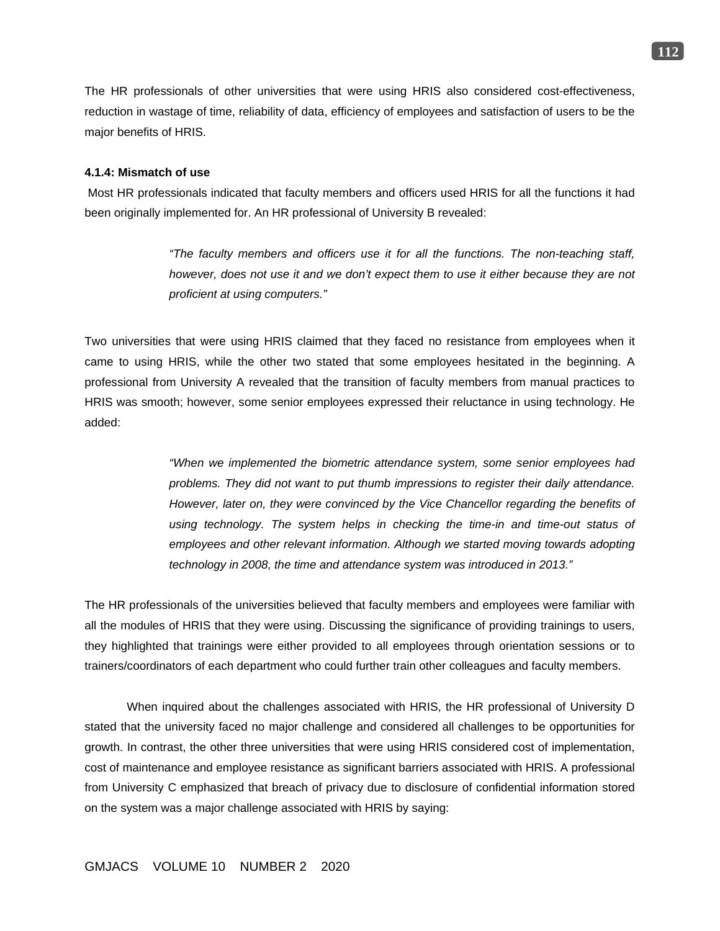The HR professionals of other universities that were using HRIS also considered cost-effectiveness, reduction in wastage of time, reliability of data, efficiency of employees and satisfaction of users to be the major benefits of HRIS.

#### **4.1.4: Mismatch of use**

Most HR professionals indicated that faculty members and officers used HRIS for all the functions it had been originally implemented for. An HR professional of University B revealed:

> *"The faculty members and officers use it for all the functions. The non-teaching staff, however, does not use it and we don't expect them to use it either because they are not proficient at using computers."*

Two universities that were using HRIS claimed that they faced no resistance from employees when it came to using HRIS, while the other two stated that some employees hesitated in the beginning. A professional from University A revealed that the transition of faculty members from manual practices to HRIS was smooth; however, some senior employees expressed their reluctance in using technology. He added:

> *"When we implemented the biometric attendance system, some senior employees had problems. They did not want to put thumb impressions to register their daily attendance. However, later on, they were convinced by the Vice Chancellor regarding the benefits of*  using technology. The system helps in checking the time-in and time-out status of employees and other relevant information. Although we started moving towards adopting *technology in 2008, the time and attendance system was introduced in 2013."*

The HR professionals of the universities believed that faculty members and employees were familiar with all the modules of HRIS that they were using. Discussing the significance of providing trainings to users, they highlighted that trainings were either provided to all employees through orientation sessions or to trainers/coordinators of each department who could further train other colleagues and faculty members.

When inquired about the challenges associated with HRIS, the HR professional of University D stated that the university faced no major challenge and considered all challenges to be opportunities for growth. In contrast, the other three universities that were using HRIS considered cost of implementation, cost of maintenance and employee resistance as significant barriers associated with HRIS. A professional from University C emphasized that breach of privacy due to disclosure of confidential information stored on the system was a major challenge associated with HRIS by saying:

**112**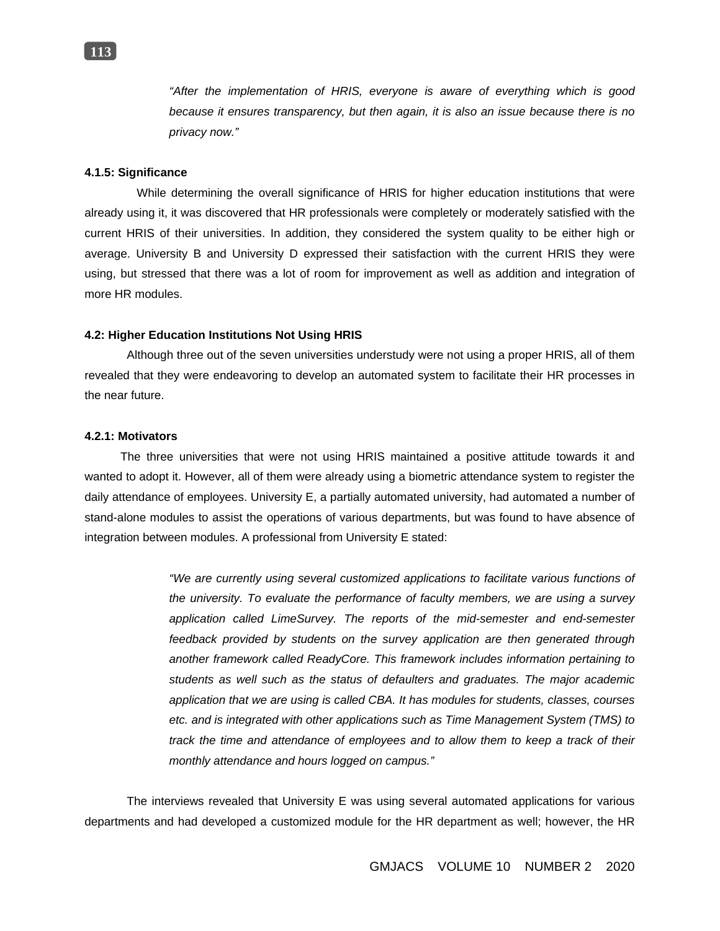*"After the implementation of HRIS, everyone is aware of everything which is good because it ensures transparency, but then again, it is also an issue because there is no privacy now."*

## **4.1.5: Significance**

While determining the overall significance of HRIS for higher education institutions that were already using it, it was discovered that HR professionals were completely or moderately satisfied with the current HRIS of their universities. In addition, they considered the system quality to be either high or average. University B and University D expressed their satisfaction with the current HRIS they were using, but stressed that there was a lot of room for improvement as well as addition and integration of more HR modules.

### **4.2: Higher Education Institutions Not Using HRIS**

Although three out of the seven universities understudy were not using a proper HRIS, all of them revealed that they were endeavoring to develop an automated system to facilitate their HR processes in the near future.

### **4.2.1: Motivators**

The three universities that were not using HRIS maintained a positive attitude towards it and wanted to adopt it. However, all of them were already using a biometric attendance system to register the daily attendance of employees. University E, a partially automated university, had automated a number of stand-alone modules to assist the operations of various departments, but was found to have absence of integration between modules. A professional from University E stated:

> *"We are currently using several customized applications to facilitate various functions of the university. To evaluate the performance of faculty members, we are using a survey application called LimeSurvey. The reports of the mid-semester and end-semester feedback provided by students on the survey application are then generated through another framework called ReadyCore. This framework includes information pertaining to students as well such as the status of defaulters and graduates. The major academic application that we are using is called CBA. It has modules for students, classes, courses etc. and is integrated with other applications such as Time Management System (TMS) to track the time and attendance of employees and to allow them to keep a track of their monthly attendance and hours logged on campus."*

The interviews revealed that University E was using several automated applications for various departments and had developed a customized module for the HR department as well; however, the HR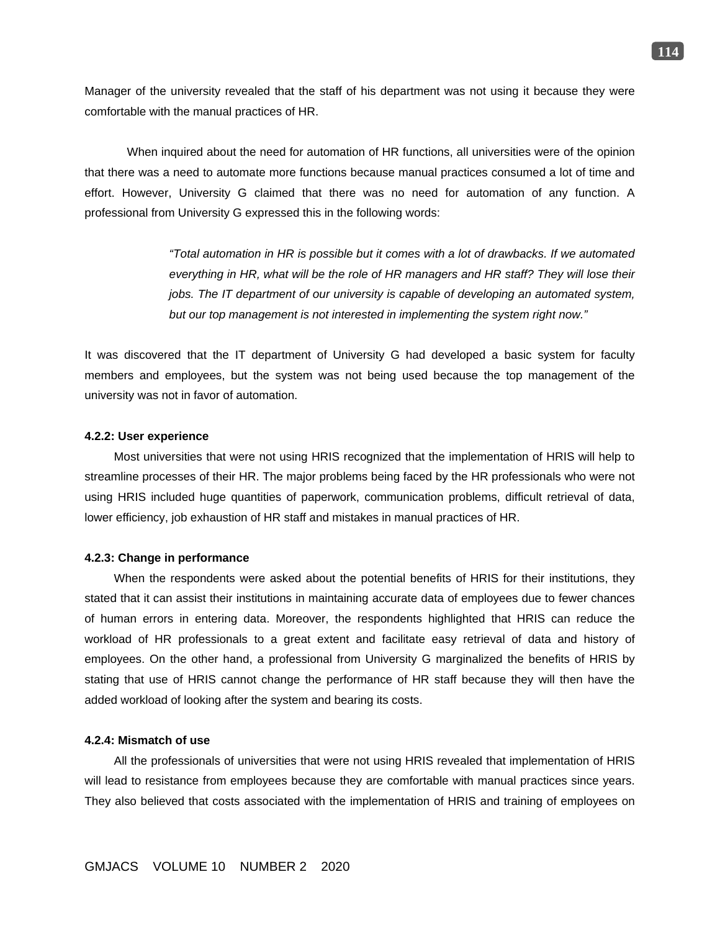Manager of the university revealed that the staff of his department was not using it because they were comfortable with the manual practices of HR.

When inquired about the need for automation of HR functions, all universities were of the opinion that there was a need to automate more functions because manual practices consumed a lot of time and effort. However, University G claimed that there was no need for automation of any function. A professional from University G expressed this in the following words:

> *"Total automation in HR is possible but it comes with a lot of drawbacks. If we automated everything in HR, what will be the role of HR managers and HR staff? They will lose their jobs. The IT department of our university is capable of developing an automated system, but our top management is not interested in implementing the system right now."*

It was discovered that the IT department of University G had developed a basic system for faculty members and employees, but the system was not being used because the top management of the university was not in favor of automation.

#### **4.2.2: User experience**

Most universities that were not using HRIS recognized that the implementation of HRIS will help to streamline processes of their HR. The major problems being faced by the HR professionals who were not using HRIS included huge quantities of paperwork, communication problems, difficult retrieval of data, lower efficiency, job exhaustion of HR staff and mistakes in manual practices of HR.

#### **4.2.3: Change in performance**

When the respondents were asked about the potential benefits of HRIS for their institutions, they stated that it can assist their institutions in maintaining accurate data of employees due to fewer chances of human errors in entering data. Moreover, the respondents highlighted that HRIS can reduce the workload of HR professionals to a great extent and facilitate easy retrieval of data and history of employees. On the other hand, a professional from University G marginalized the benefits of HRIS by stating that use of HRIS cannot change the performance of HR staff because they will then have the added workload of looking after the system and bearing its costs.

#### **4.2.4: Mismatch of use**

All the professionals of universities that were not using HRIS revealed that implementation of HRIS will lead to resistance from employees because they are comfortable with manual practices since years. They also believed that costs associated with the implementation of HRIS and training of employees on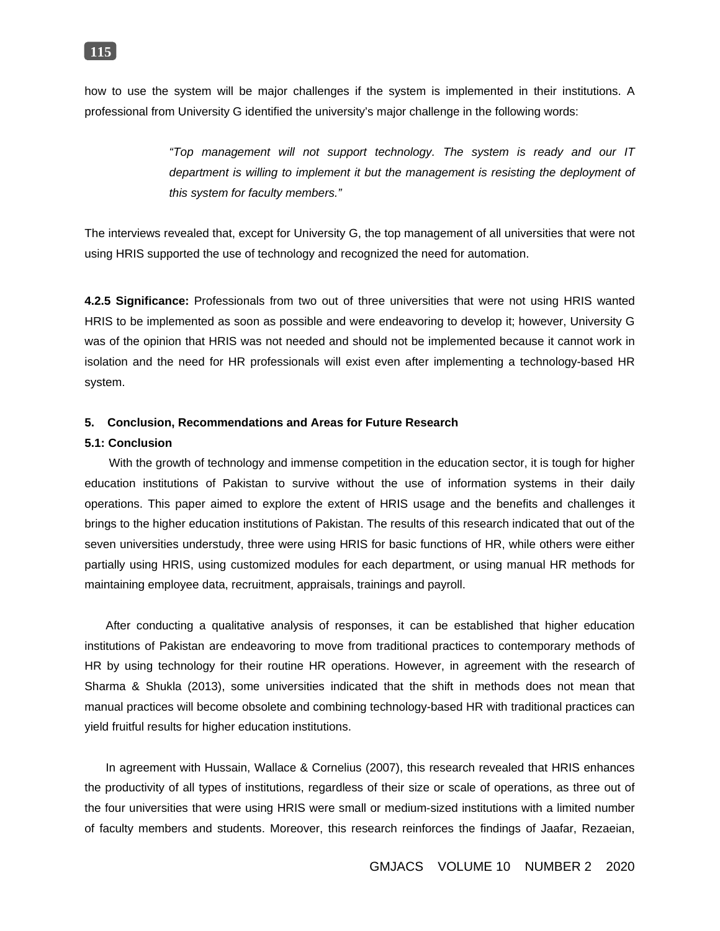

how to use the system will be major challenges if the system is implemented in their institutions. A professional from University G identified the university's major challenge in the following words:

> *"Top management will not support technology. The system is ready and our IT department is willing to implement it but the management is resisting the deployment of this system for faculty members."*

The interviews revealed that, except for University G, the top management of all universities that were not using HRIS supported the use of technology and recognized the need for automation.

**4.2.5 Significance:** Professionals from two out of three universities that were not using HRIS wanted HRIS to be implemented as soon as possible and were endeavoring to develop it; however, University G was of the opinion that HRIS was not needed and should not be implemented because it cannot work in isolation and the need for HR professionals will exist even after implementing a technology-based HR system.

### **5. Conclusion, Recommendations and Areas for Future Research**

### **5.1: Conclusion**

With the growth of technology and immense competition in the education sector, it is tough for higher education institutions of Pakistan to survive without the use of information systems in their daily operations. This paper aimed to explore the extent of HRIS usage and the benefits and challenges it brings to the higher education institutions of Pakistan. The results of this research indicated that out of the seven universities understudy, three were using HRIS for basic functions of HR, while others were either partially using HRIS, using customized modules for each department, or using manual HR methods for maintaining employee data, recruitment, appraisals, trainings and payroll.

After conducting a qualitative analysis of responses, it can be established that higher education institutions of Pakistan are endeavoring to move from traditional practices to contemporary methods of HR by using technology for their routine HR operations. However, in agreement with the research of Sharma & Shukla (2013), some universities indicated that the shift in methods does not mean that manual practices will become obsolete and combining technology-based HR with traditional practices can yield fruitful results for higher education institutions.

In agreement with Hussain, Wallace & Cornelius (2007), this research revealed that HRIS enhances the productivity of all types of institutions, regardless of their size or scale of operations, as three out of the four universities that were using HRIS were small or medium-sized institutions with a limited number of faculty members and students. Moreover, this research reinforces the findings of Jaafar, Rezaeian,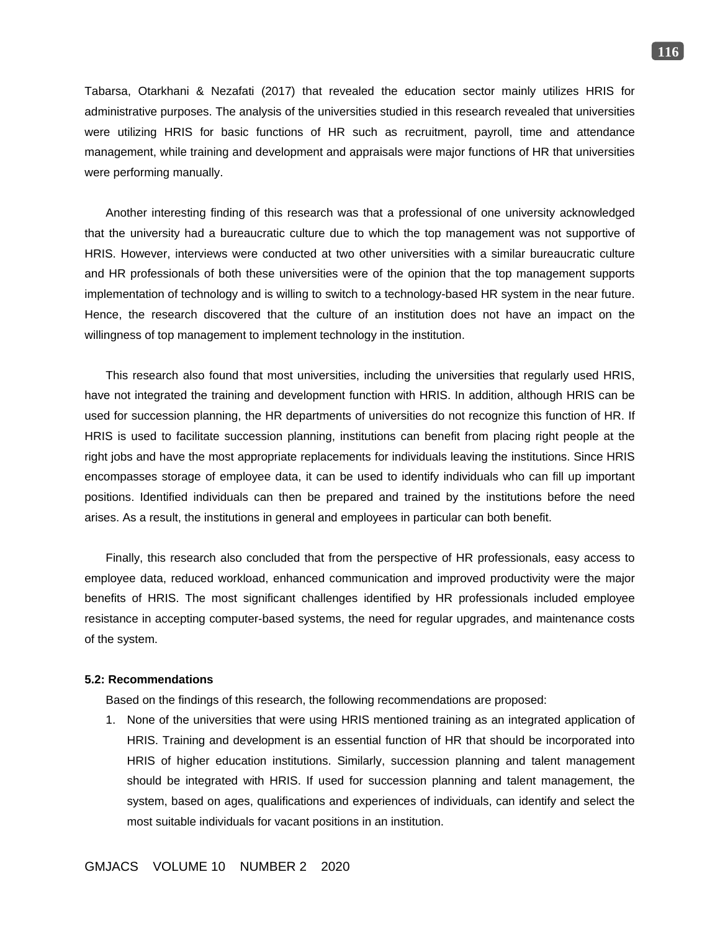Tabarsa, Otarkhani & Nezafati (2017) that revealed the education sector mainly utilizes HRIS for administrative purposes. The analysis of the universities studied in this research revealed that universities were utilizing HRIS for basic functions of HR such as recruitment, payroll, time and attendance management, while training and development and appraisals were major functions of HR that universities were performing manually.

Another interesting finding of this research was that a professional of one university acknowledged that the university had a bureaucratic culture due to which the top management was not supportive of HRIS. However, interviews were conducted at two other universities with a similar bureaucratic culture and HR professionals of both these universities were of the opinion that the top management supports implementation of technology and is willing to switch to a technology-based HR system in the near future. Hence, the research discovered that the culture of an institution does not have an impact on the willingness of top management to implement technology in the institution.

This research also found that most universities, including the universities that regularly used HRIS, have not integrated the training and development function with HRIS. In addition, although HRIS can be used for succession planning, the HR departments of universities do not recognize this function of HR. If HRIS is used to facilitate succession planning, institutions can benefit from placing right people at the right jobs and have the most appropriate replacements for individuals leaving the institutions. Since HRIS encompasses storage of employee data, it can be used to identify individuals who can fill up important positions. Identified individuals can then be prepared and trained by the institutions before the need arises. As a result, the institutions in general and employees in particular can both benefit.

Finally, this research also concluded that from the perspective of HR professionals, easy access to employee data, reduced workload, enhanced communication and improved productivity were the major benefits of HRIS. The most significant challenges identified by HR professionals included employee resistance in accepting computer-based systems, the need for regular upgrades, and maintenance costs of the system.

### **5.2: Recommendations**

Based on the findings of this research, the following recommendations are proposed:

1. None of the universities that were using HRIS mentioned training as an integrated application of HRIS. Training and development is an essential function of HR that should be incorporated into HRIS of higher education institutions. Similarly, succession planning and talent management should be integrated with HRIS. If used for succession planning and talent management, the system, based on ages, qualifications and experiences of individuals, can identify and select the most suitable individuals for vacant positions in an institution.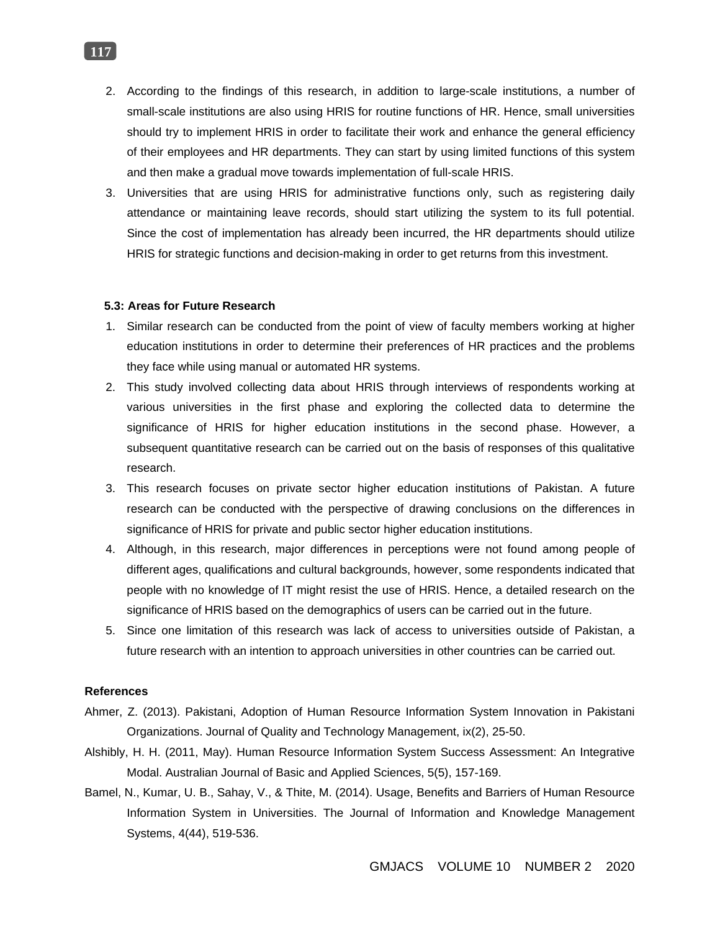- 2. According to the findings of this research, in addition to large-scale institutions, a number of small-scale institutions are also using HRIS for routine functions of HR. Hence, small universities should try to implement HRIS in order to facilitate their work and enhance the general efficiency of their employees and HR departments. They can start by using limited functions of this system and then make a gradual move towards implementation of full-scale HRIS.
- 3. Universities that are using HRIS for administrative functions only, such as registering daily attendance or maintaining leave records, should start utilizing the system to its full potential. Since the cost of implementation has already been incurred, the HR departments should utilize HRIS for strategic functions and decision-making in order to get returns from this investment.

### **5.3: Areas for Future Research**

- 1. Similar research can be conducted from the point of view of faculty members working at higher education institutions in order to determine their preferences of HR practices and the problems they face while using manual or automated HR systems.
- 2. This study involved collecting data about HRIS through interviews of respondents working at various universities in the first phase and exploring the collected data to determine the significance of HRIS for higher education institutions in the second phase. However, a subsequent quantitative research can be carried out on the basis of responses of this qualitative research.
- 3. This research focuses on private sector higher education institutions of Pakistan. A future research can be conducted with the perspective of drawing conclusions on the differences in significance of HRIS for private and public sector higher education institutions.
- 4. Although, in this research, major differences in perceptions were not found among people of different ages, qualifications and cultural backgrounds, however, some respondents indicated that people with no knowledge of IT might resist the use of HRIS. Hence, a detailed research on the significance of HRIS based on the demographics of users can be carried out in the future.
- 5. Since one limitation of this research was lack of access to universities outside of Pakistan, a future research with an intention to approach universities in other countries can be carried out.

### **References**

- Ahmer, Z. (2013). Pakistani, Adoption of Human Resource Information System Innovation in Pakistani Organizations. Journal of Quality and Technology Management, ix(2), 25-50.
- Alshibly, H. H. (2011, May). Human Resource Information System Success Assessment: An Integrative Modal. Australian Journal of Basic and Applied Sciences, 5(5), 157-169.
- Bamel, N., Kumar, U. B., Sahay, V., & Thite, M. (2014). Usage, Benefits and Barriers of Human Resource Information System in Universities. The Journal of Information and Knowledge Management Systems, 4(44), 519-536.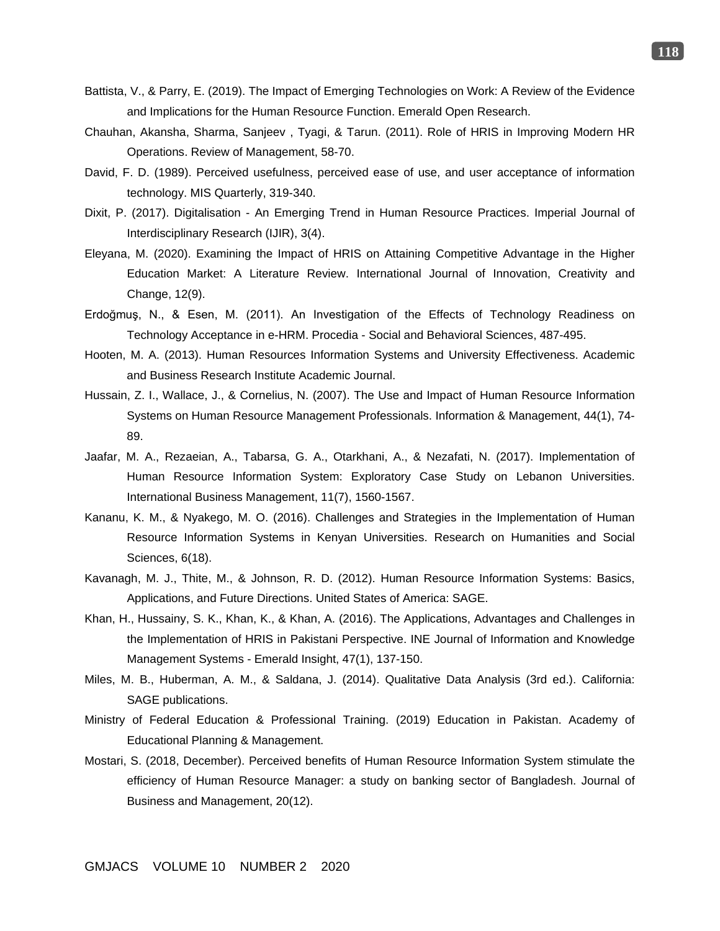- Battista, V., & Parry, E. (2019). The Impact of Emerging Technologies on Work: A Review of the Evidence and Implications for the Human Resource Function. Emerald Open Research.
- Chauhan, Akansha, Sharma, Sanjeev , Tyagi, & Tarun. (2011). Role of HRIS in Improving Modern HR Operations. Review of Management, 58-70.
- David, F. D. (1989). Perceived usefulness, perceived ease of use, and user acceptance of information technology. MIS Quarterly, 319-340.
- Dixit, P. (2017). Digitalisation An Emerging Trend in Human Resource Practices. Imperial Journal of Interdisciplinary Research (IJIR), 3(4).
- Eleyana, M. (2020). Examining the Impact of HRIS on Attaining Competitive Advantage in the Higher Education Market: A Literature Review. International Journal of Innovation, Creativity and Change, 12(9).
- Erdoğmuş, N., & Esen, M. (2011). An Investigation of the Effects of Technology Readiness on Technology Acceptance in e-HRM. Procedia - Social and Behavioral Sciences, 487-495.
- Hooten, M. A. (2013). Human Resources Information Systems and University Effectiveness. Academic and Business Research Institute Academic Journal.
- Hussain, Z. I., Wallace, J., & Cornelius, N. (2007). The Use and Impact of Human Resource Information Systems on Human Resource Management Professionals. Information & Management, 44(1), 74- 89.
- Jaafar, M. A., Rezaeian, A., Tabarsa, G. A., Otarkhani, A., & Nezafati, N. (2017). Implementation of Human Resource Information System: Exploratory Case Study on Lebanon Universities. International Business Management, 11(7), 1560-1567.
- Kananu, K. M., & Nyakego, M. O. (2016). Challenges and Strategies in the Implementation of Human Resource Information Systems in Kenyan Universities. Research on Humanities and Social Sciences, 6(18).
- Kavanagh, M. J., Thite, M., & Johnson, R. D. (2012). Human Resource Information Systems: Basics, Applications, and Future Directions. United States of America: SAGE.
- Khan, H., Hussainy, S. K., Khan, K., & Khan, A. (2016). The Applications, Advantages and Challenges in the Implementation of HRIS in Pakistani Perspective. INE Journal of Information and Knowledge Management Systems - Emerald Insight, 47(1), 137-150.
- Miles, M. B., Huberman, A. M., & Saldana, J. (2014). Qualitative Data Analysis (3rd ed.). California: SAGE publications.
- Ministry of Federal Education & Professional Training. (2019) Education in Pakistan. Academy of Educational Planning & Management.
- Mostari, S. (2018, December). Perceived benefits of Human Resource Information System stimulate the efficiency of Human Resource Manager: a study on banking sector of Bangladesh. Journal of Business and Management, 20(12).